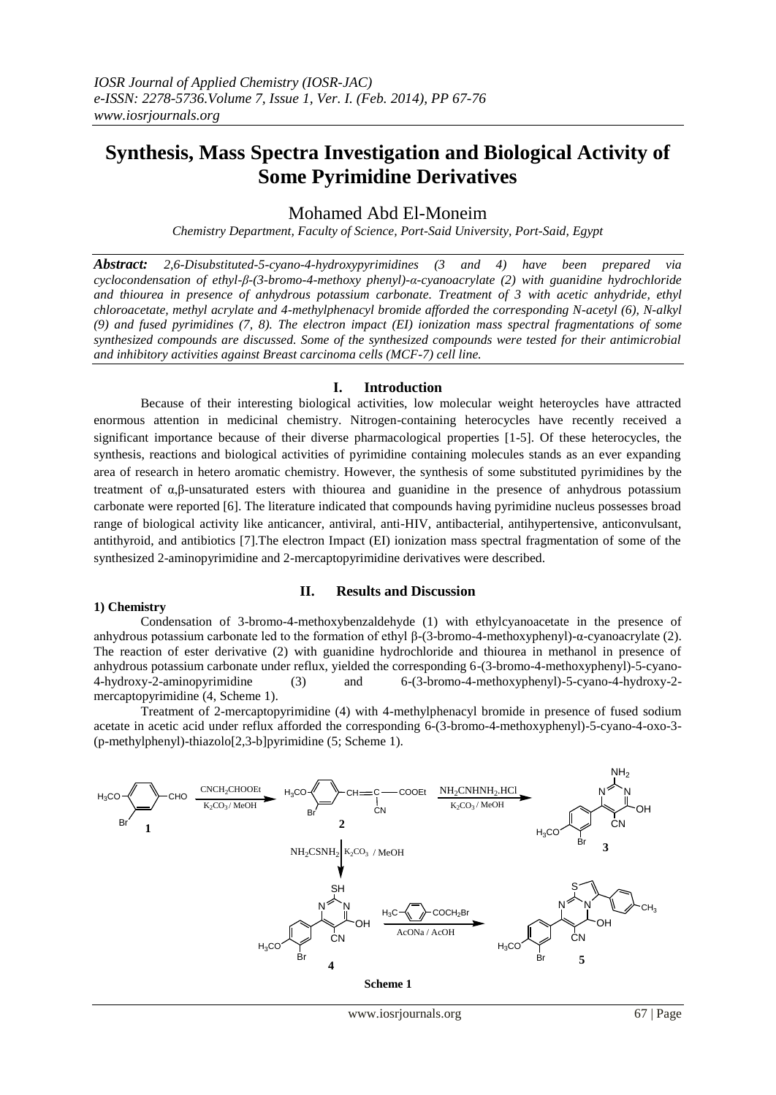# **Synthesis, Mass Spectra Investigation and Biological Activity of Some Pyrimidine Derivatives**

# Mohamed Abd El-Moneim

*Chemistry Department, Faculty of Science, Port-Said University, Port-Said, Egypt*

*Abstract: 2,6-Disubstituted-5-cyano-4-hydroxypyrimidines (3 and 4) have been prepared via cyclocondensation of ethyl-β-(3-bromo-4-methoxy phenyl)-α-cyanoacrylate (2) with guanidine hydrochloride and thiourea in presence of anhydrous potassium carbonate. Treatment of 3 with acetic anhydride, ethyl chloroacetate, methyl acrylate and 4-methylphenacyl bromide afforded the corresponding N-acetyl (6), N-alkyl (9) and fused pyrimidines (7, 8). The electron impact (EI) ionization mass spectral fragmentations of some synthesized compounds are discussed. Some of the synthesized compounds were tested for their antimicrobial and inhibitory activities against Breast carcinoma cells (MCF-7) cell line.*

### **Ι. Introduction**

Because of their interesting biological activities, low molecular weight heteroycles have attracted enormous attention in medicinal chemistry. Nitrogen-containing heterocycles have recently received a significant importance because of their diverse pharmacological properties [1-5]. Of these heterocycles, the synthesis, reactions and biological activities of pyrimidine containing molecules stands as an ever expanding area of research in hetero aromatic chemistry. However, the synthesis of some substituted pyrimidines by the treatment of α,β-unsaturated esters with thiourea and guanidine in the presence of anhydrous potassium carbonate were reported [6]. The literature indicated that compounds having pyrimidine nucleus possesses broad range of biological activity like anticancer, antiviral, anti-HIV, antibacterial, antihypertensive, anticonvulsant, antithyroid, and antibiotics [7].The electron Impact (EI) ionization mass spectral fragmentation of some of the synthesized 2-aminopyrimidine and 2-mercaptopyrimidine derivatives were described.

#### **1) Chemistry**

## **II. Results and Discussion**

Condensation of 3-bromo-4-methoxybenzaldehyde (1) with ethylcyanoacetate in the presence of anhydrous potassium carbonate led to the formation of ethyl β-(3-bromo-4-methoxyphenyl)-α-cyanoacrylate (2). The reaction of ester derivative (2) with guanidine hydrochloride and thiourea in methanol in presence of anhydrous potassium carbonate under reflux, yielded the corresponding 6-(3-bromo-4-methoxyphenyl)-5-cyano-4-hydroxy-2-aminopyrimidine (3) and 6-(3-bromo-4-methoxyphenyl)-5-cyano-4-hydroxy-2 mercaptopyrimidine (4, Scheme 1).

Treatment of 2-mercaptopyrimidine (4) with 4-methylphenacyl bromide in presence of fused sodium acetate in acetic acid under reflux afforded the corresponding 6-(3-bromo-4-methoxyphenyl)-5-cyano-4-oxo-3- (p-methylphenyl)-thiazolo[2,3-b]pyrimidine (5; Scheme 1).

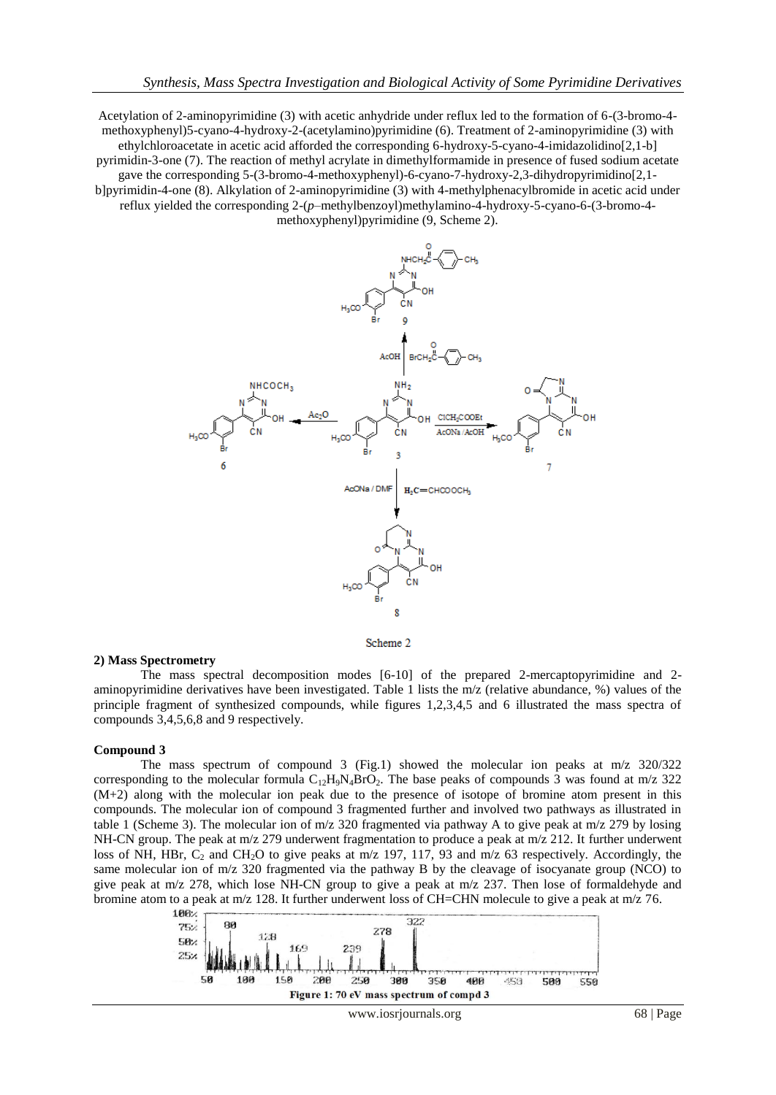Acetylation of 2-aminopyrimidine (3) with acetic anhydride under reflux led to the formation of 6-(3-bromo-4 methoxyphenyl)5-cyano-4-hydroxy-2-(acetylamino)pyrimidine (6). Treatment of 2-aminopyrimidine (3) with ethylchloroacetate in acetic acid afforded the corresponding 6-hydroxy-5-cyano-4-imidazolidino[2,1-b] pyrimidin-3-one (7). The reaction of methyl acrylate in dimethylformamide in presence of fused sodium acetate gave the corresponding 5-(3-bromo-4-methoxyphenyl)-6-cyano-7-hydroxy-2,3-dihydropyrimidino[2,1 b]pyrimidin-4-one (8). Alkylation of 2-aminopyrimidine (3) with 4-methylphenacylbromide in acetic acid under reflux yielded the corresponding 2-(*p*–methylbenzoyl)methylamino-4-hydroxy-5-cyano-6-(3-bromo-4 methoxyphenyl)pyrimidine (9, Scheme 2).



Scheme 2

#### **2) Mass Spectrometry**

The mass spectral decomposition modes [6-10] of the prepared 2-mercaptopyrimidine and 2 aminopyrimidine derivatives have been investigated. Table 1 lists the m/z (relative abundance, %) values of the principle fragment of synthesized compounds, while figures 1,2,3,4,5 and 6 illustrated the mass spectra of compounds 3,4,5,6,8 and 9 respectively.

#### **Compound 3**

The mass spectrum of compound 3 (Fig.1) showed the molecular ion peaks at m/z 320/322 corresponding to the molecular formula  $C_{12}H_9N_4BrQ_2$ . The base peaks of compounds 3 was found at m/z 322 (M+2) along with the molecular ion peak due to the presence of isotope of bromine atom present in this compounds. The molecular ion of compound 3 fragmented further and involved two pathways as illustrated in table 1 (Scheme 3). The molecular ion of m/z 320 fragmented via pathway A to give peak at m/z 279 by losing NH-CN group. The peak at m/z 279 underwent fragmentation to produce a peak at m/z 212. It further underwent loss of NH, HBr,  $C_2$  and CH<sub>2</sub>O to give peaks at m/z 197, 117, 93 and m/z 63 respectively. Accordingly, the same molecular ion of m/z 320 fragmented via the pathway B by the cleavage of isocyanate group (NCO) to give peak at m/z 278, which lose NH-CN group to give a peak at m/z 237. Then lose of formaldehyde and bromine atom to a peak at m/z 128. It further underwent loss of CH=CHN molecule to give a peak at m/z 76.

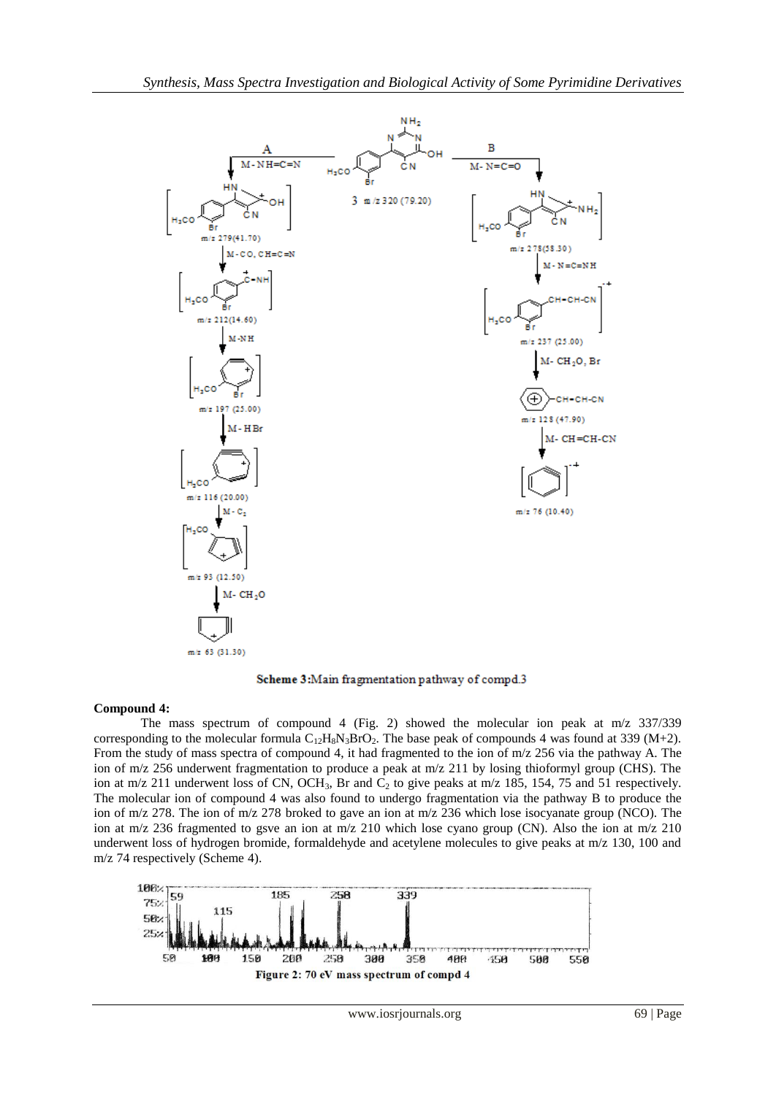

Scheme 3:Main fragmentation pathway of compd.3

# **Compound 4:**

The mass spectrum of compound 4 (Fig. 2) showed the molecular ion peak at m/z 337/339 corresponding to the molecular formula  $C_{12}H_8N_3BrO_2$ . The base peak of compounds 4 was found at 339 (M+2). From the study of mass spectra of compound 4, it had fragmented to the ion of m/z 256 via the pathway A. The ion of m/z 256 underwent fragmentation to produce a peak at m/z 211 by losing thioformyl group (CHS). The ion at m/z 211 underwent loss of CN, OCH<sub>3</sub>, Br and C<sub>2</sub> to give peaks at m/z 185, 154, 75 and 51 respectively. The molecular ion of compound 4 was also found to undergo fragmentation via the pathway B to produce the ion of m/z 278. The ion of m/z 278 broked to gave an ion at m/z 236 which lose isocyanate group (NCO). The ion at m/z 236 fragmented to gsve an ion at m/z 210 which lose cyano group (CN). Also the ion at m/z 210 underwent loss of hydrogen bromide, formaldehyde and acetylene molecules to give peaks at m/z 130, 100 and m/z 74 respectively (Scheme 4).

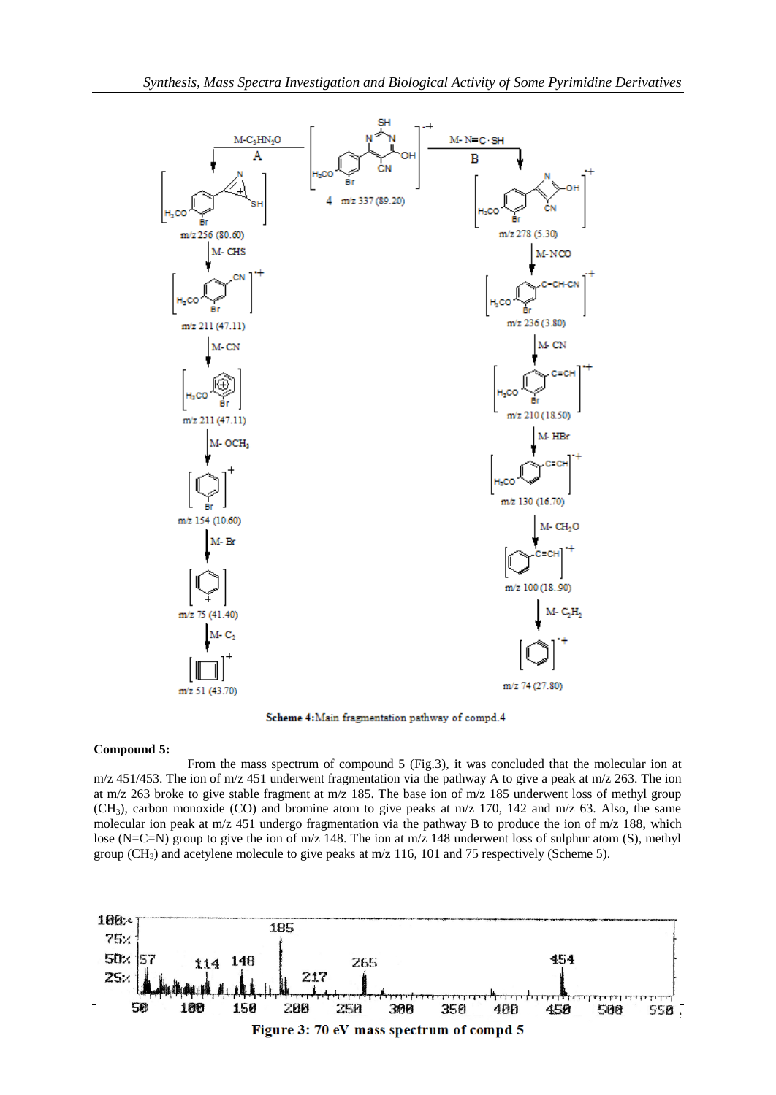

Scheme 4: Main fragmentation pathway of compd.4

#### **Compound 5:**

From the mass spectrum of compound 5 (Fig.3), it was concluded that the molecular ion at m/z 451/453. The ion of m/z 451 underwent fragmentation via the pathway A to give a peak at m/z 263. The ion at m/z 263 broke to give stable fragment at m/z 185. The base ion of m/z 185 underwent loss of methyl group  $(CH<sub>3</sub>)$ , carbon monoxide (CO) and bromine atom to give peaks at m/z 170, 142 and m/z 63. Also, the same molecular ion peak at m/z 451 undergo fragmentation via the pathway B to produce the ion of m/z 188, which lose (N=C=N) group to give the ion of m/z 148. The ion at m/z 148 underwent loss of sulphur atom (S), methyl group (CH<sub>3</sub>) and acetylene molecule to give peaks at  $m/z$  116, 101 and 75 respectively (Scheme 5).

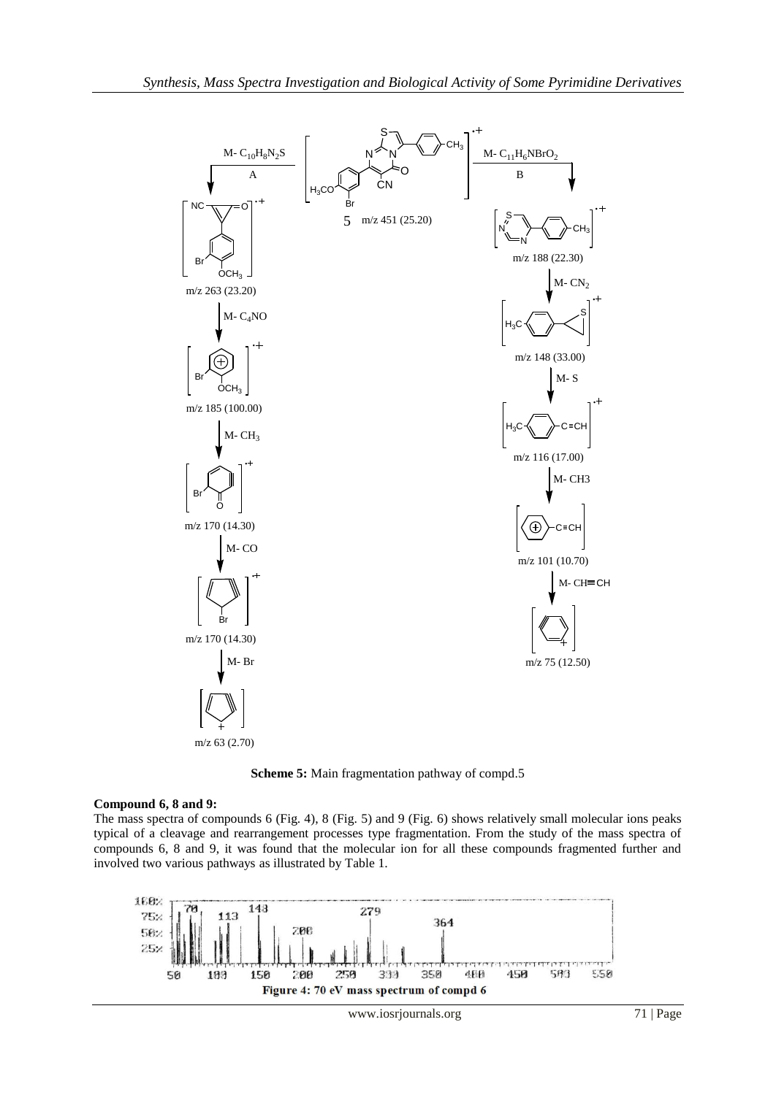

**Scheme 5:** Main fragmentation pathway of compd.5

# **Compound 6, 8 and 9:**

The mass spectra of compounds 6 (Fig. 4), 8 (Fig. 5) and 9 (Fig. 6) shows relatively small molecular ions peaks typical of a cleavage and rearrangement processes type fragmentation. From the study of the mass spectra of compounds 6, 8 and 9, it was found that the molecular ion for all these compounds fragmented further and involved two various pathways as illustrated by Table 1.

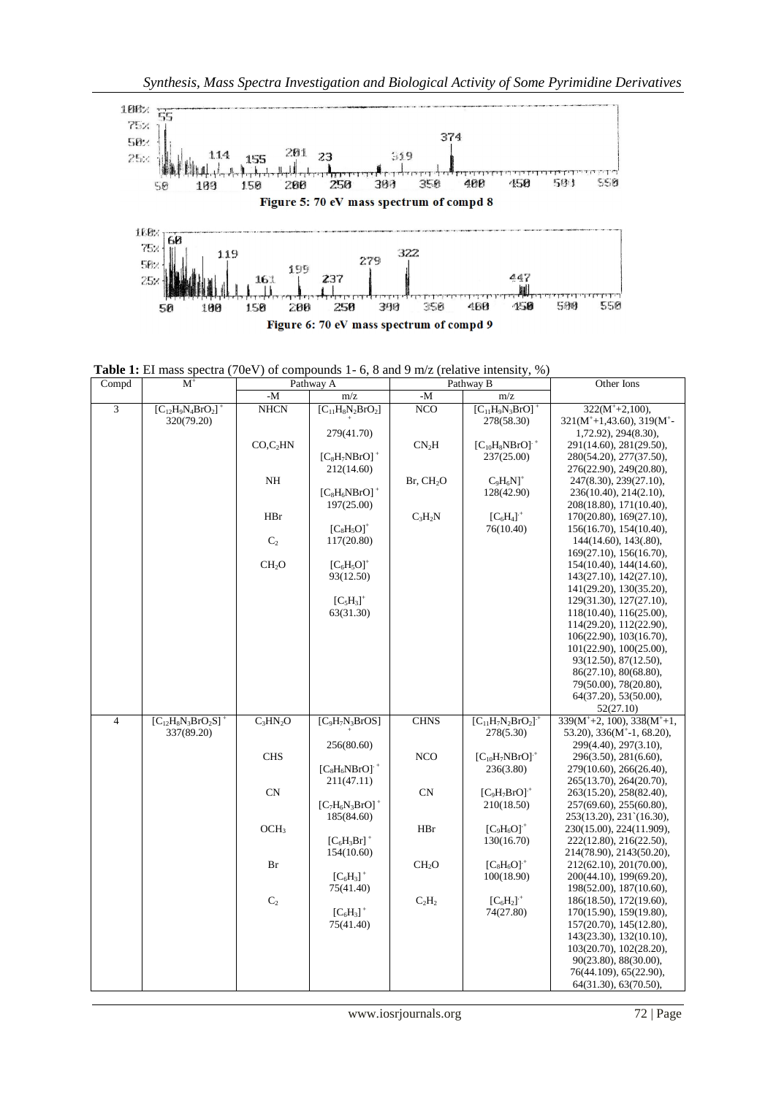

**Table 1:** EI mass spectra (70eV) of compounds 1- 6, 8 and 9 m/z (relative intensity, %)

| Compd          | $M^+$                                  |                   | Pathway A                               |                       | Pathway B                                       | Other Ions                                                                                               |  |
|----------------|----------------------------------------|-------------------|-----------------------------------------|-----------------------|-------------------------------------------------|----------------------------------------------------------------------------------------------------------|--|
|                |                                        | $-M$              | m/z                                     | - $M$                 | m/z                                             |                                                                                                          |  |
| 3              | $[C_{12}H_9N_4BrO_2]^+$<br>320(79.20)  | <b>NHCN</b>       | $[C_{11}H_8N_2BrO_2]$<br>279(41.70)     | NCO                   | $[C_{11}H_9N_3BrO]^+$<br>278(58.30)             | $322(M^+ + 2,100)$ ,<br>$321(M^+ + 1,43.60)$ , $319(M^+ -$<br>1,72.92), 294(8.30),                       |  |
|                |                                        | $CO$ , $C_2$ HN   | $[C_8H_7NBrO]^+$                        | CN <sub>2</sub> H     | $[C_{10}H_8NBrO]$ <sup>+</sup><br>237(25.00)    | 291(14.60), 281(29.50),<br>280(54.20), 277(37.50),                                                       |  |
|                |                                        | $\rm NH$          | 212(14.60)<br>$[C_8H_6NBrO]^+$          | Br, CH <sub>2</sub> O | $C_9H_6N$ <sup>+</sup><br>128(42.90)            | 276(22.90), 249(20.80),<br>247(8.30), 239(27.10),<br>236(10.40), 214(2.10),                              |  |
|                |                                        | HBr               | 197(25.00)<br>$[C_8H_5O]^+$             | $C_3H_2N$             | $[C_6H_4]^+$<br>76(10.40)                       | 208(18.80), 171(10.40),<br>170(20.80), 169(27.10),<br>156(16.70), 154(10.40),                            |  |
|                |                                        | C <sub>2</sub>    | 117(20.80)                              |                       |                                                 | $144(14.60), 143(0.80)$ ,<br>169(27.10), 156(16.70),                                                     |  |
|                |                                        | CH <sub>2</sub> O | $[C_6H_5O]^+$<br>93(12.50)              |                       |                                                 | 154(10.40), 144(14.60),<br>143(27.10), 142(27.10),<br>141(29.20), 130(35.20),                            |  |
|                |                                        |                   | $[C_5H_3]^+$<br>63(31.30)               |                       |                                                 | 129(31.30), 127(27.10),<br>118(10.40), 116(25.00),<br>114(29.20), 112(22.90),                            |  |
|                |                                        |                   |                                         |                       |                                                 | 106(22.90), 103(16.70),<br>101(22.90), 100(25.00),                                                       |  |
|                |                                        |                   |                                         |                       |                                                 | 93(12.50), 87(12.50),<br>86(27.10), 80(68.80),<br>79(50.00), 78(20.80),                                  |  |
|                |                                        |                   |                                         |                       |                                                 | 64(37.20), 53(50.00),<br>52(27.10)                                                                       |  |
| $\overline{4}$ | $[C_{12}H_8N_3BrO_2S]^+$<br>337(89.20) | $C_3HN_2O$        | $[C_9H_7N_3BrOS]$<br>256(80.60)         | <b>CHNS</b>           | $[C_{11}H_7N_2BrO_2]$ <sup>+</sup><br>278(5.30) | $339(M^+ + 2, 100)$ , $338(M^+ + 1,$<br>53.20), $336(M^{\dagger} - 1, 68.20)$ ,<br>299(4.40), 297(3.10), |  |
|                |                                        | <b>CHS</b>        | $[C_8H_6NBrO]$ <sup>+</sup>             | <b>NCO</b>            | $[C_{10}H_7NBrO]$ <sup>+</sup><br>236(3.80)     | 296(3.50), 281(6.60),<br>279(10.60), 266(26.40),                                                         |  |
|                |                                        | CN                | 211(47.11)<br>$[C_7H_6N_3BrO]^+$        | CN                    | $[C_9H_7BrO]+$<br>210(18.50)                    | 265(13.70), 264(20.70),<br>263(15.20), 258(82.40),<br>257(69.60), 255(60.80),                            |  |
|                |                                        | OCH <sub>3</sub>  | 185(84.60)<br>$[C_6H_3Br]$ <sup>+</sup> | HBr                   | $[C_9H_6O]+$<br>130(16.70)                      | 253(13.20), 231 (16.30),<br>230(15.00), 224(11.909),<br>222(12.80), 216(22.50),                          |  |
|                |                                        | Br                | 154(10.60)<br>$[C_6H_3]^+$              | CH <sub>2</sub> O     | $[C_8H_6O]+$<br>100(18.90)                      | 214(78.90), 2143(50.20),<br>212(62.10), 201(70.00),<br>200(44.10), 199(69.20),                           |  |
|                |                                        | $\mathbf{C}_2$    | 75(41.40)<br>$[C_6H_3]^+$               | $C_2H_2$              | $[C_6H_2]^+$<br>74(27.80)                       | 198(52.00), 187(10.60),<br>186(18.50), 172(19.60),<br>170(15.90), 159(19.80),                            |  |
|                |                                        |                   | 75(41.40)                               |                       |                                                 | 157(20.70), 145(12.80),<br>143(23.30), 132(10.10),                                                       |  |
|                |                                        |                   |                                         |                       |                                                 | 103(20.70), 102(28.20),<br>90(23.80), 88(30.00),<br>76(44.109), 65(22.90),                               |  |
|                |                                        |                   |                                         |                       |                                                 | 64(31.30), 63(70.50),                                                                                    |  |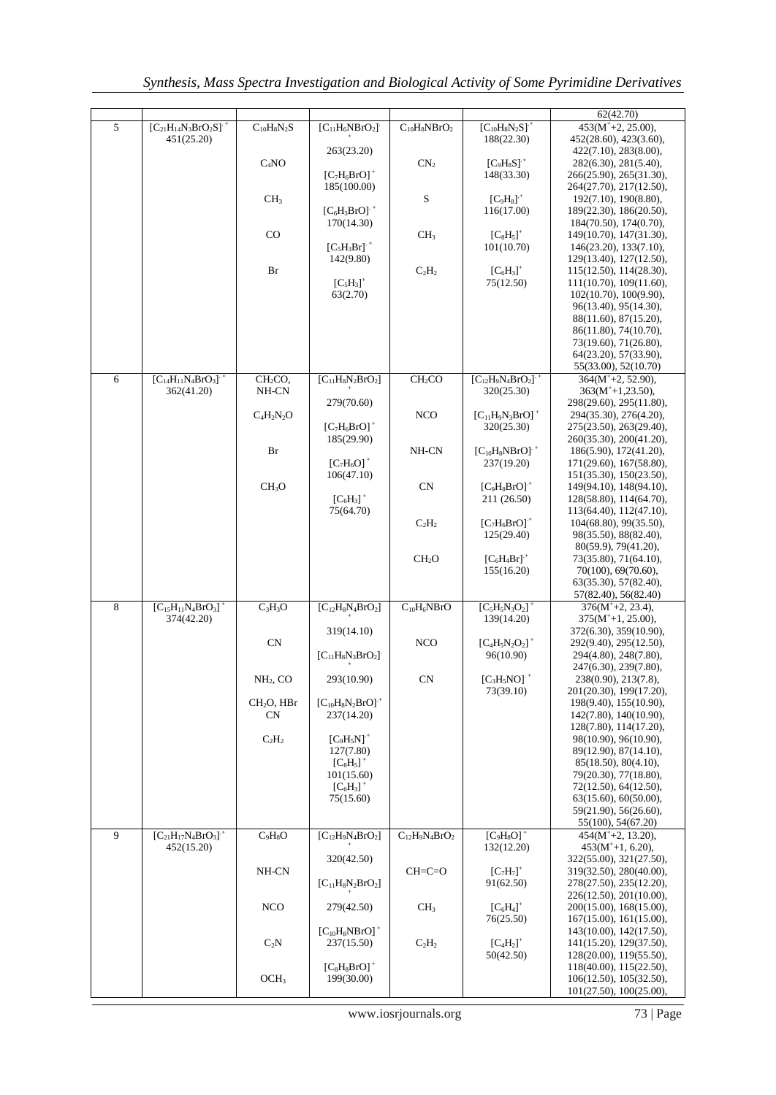|   |                                        |                                 |                                  |                              |                                         | 62(42.70)                                          |
|---|----------------------------------------|---------------------------------|----------------------------------|------------------------------|-----------------------------------------|----------------------------------------------------|
| 5 | $[C_{21}H_{14}N_3BrO_2S]$ <sup>+</sup> | $C_{10}H_8N_2S$                 | $[C_{11}H_6NBrO_2]$              | $\overline{C_{10}H_8NBrO_2}$ | $[C_{10}H_8N_2S]$ <sup>+</sup>          | $453(M+2, 25.00),$                                 |
|   | 451(25.20)                             |                                 |                                  |                              | 188(22.30)                              | 452(28.60), 423(3.60),                             |
|   |                                        |                                 | 263(23.20)                       | $\mathbf{CN}_2$              | $[C_9H_8S]^+$                           | 422(7.10), 283(8.00),                              |
|   |                                        | $C_4NO$                         | $[C_7H_6BrO]^+$                  |                              | 148(33.30)                              | 282(6.30), 281(5.40),<br>266(25.90), 265(31.30),   |
|   |                                        |                                 | 185(100.00)                      |                              |                                         | 264(27.70), 217(12.50),                            |
|   |                                        | CH <sub>3</sub>                 |                                  | S                            | $[C_9H_8]^+$                            | 192(7.10), 190(8.80),                              |
|   |                                        |                                 | $[C_6H_3BrO]$ <sup>+</sup>       |                              | 116(17.00)                              | 189(22.30), 186(20.50),                            |
|   |                                        | $_{\rm CO}$                     | 170(14.30)                       | CH <sub>3</sub>              | $[C_8H_5]^+$                            | 184(70.50), 174(0.70),<br>149(10.70), 147(31.30),  |
|   |                                        |                                 | $[C_5H_3Br]$ <sup>+</sup>        |                              | 101(10.70)                              | 146(23.20), 133(7.10),                             |
|   |                                        |                                 | 142(9.80)                        |                              |                                         | 129(13.40), 127(12.50),                            |
|   |                                        | Br                              |                                  | $C_2H_2$                     | $[C_6H_3]^+$                            | 115(12.50), 114(28.30),                            |
|   |                                        |                                 | $[C5H3]+$<br>63(2.70)            |                              | 75(12.50)                               | 111(10.70), 109(11.60),                            |
|   |                                        |                                 |                                  |                              |                                         | 102(10.70), 100(9.90),<br>96(13.40), 95(14.30),    |
|   |                                        |                                 |                                  |                              |                                         | 88(11.60), 87(15.20),                              |
|   |                                        |                                 |                                  |                              |                                         | 86(11.80), 74(10.70),                              |
|   |                                        |                                 |                                  |                              |                                         | 73(19.60), 71(26.80),                              |
|   |                                        |                                 |                                  |                              |                                         | 64(23.20), 57(33.90),<br>55(33.00), 52(10.70)      |
| 6 | $[C_{14}H_{11}N_4BrO_3]$ <sup>+</sup>  | CH <sub>2</sub> CO <sub>2</sub> | $[C_{11}H_8N_2BrO_2]$            | CH <sub>2</sub> CO           | $[C_{12}H_9N_4BrO_2]$ <sup>+</sup>      | $364(M^+ + 2, 52.90)$ ,                            |
|   | 362(41.20)                             | NH-CN                           |                                  |                              | 320(25.30)                              | $363(M+1,23.50)$ ,                                 |
|   |                                        |                                 | 279(70.60)                       |                              |                                         | 298(29.60), 295(11.80),                            |
|   |                                        | $C_4H_2N_2O$                    |                                  | <b>NCO</b>                   | $[C_{11}H_9N_3BrO]^+$                   | 294(35.30), 276(4.20),                             |
|   |                                        |                                 | $[C_7H_6BrO]^+$<br>185(29.90)    |                              | 320(25.30)                              | 275(23.50), 263(29.40),<br>260(35.30), 200(41.20), |
|   |                                        | Br                              |                                  | NH-CN                        | $[C_{10}H_8NBrO]$ <sup>+</sup>          | 186(5.90), 172(41.20),                             |
|   |                                        |                                 | $[C_7H_6O]^+$                    |                              | 237(19.20)                              | 171(29.60), 167(58.80),                            |
|   |                                        |                                 | 106(47.10)                       |                              |                                         | 151(35.30), 150(23.50),                            |
|   |                                        | CH <sub>3</sub> O               | $[C_6H_3]^+$                     | <b>CN</b>                    | $[C_9H_8BrO]+$<br>211 (26.50)           | 149(94.10), 148(94.10),<br>128(58.80), 114(64.70), |
|   |                                        |                                 | 75(64.70)                        |                              |                                         | 113(64.40), 112(47.10),                            |
|   |                                        |                                 |                                  | $C_2H_2$                     | $[C_7H_6BrO]+$                          | 104(68.80), 99(35.50),                             |
|   |                                        |                                 |                                  |                              | 125(29.40)                              | 98(35.50), 88(82.40),                              |
|   |                                        |                                 |                                  |                              |                                         | 80(59.9), 79(41.20),                               |
|   |                                        |                                 |                                  | CH <sub>2</sub> O            | $[C_6H_4Br]$ <sup>+</sup><br>155(16.20) | 73(35.80), 71(64.10),<br>70(100), 69(70.60),       |
|   |                                        |                                 |                                  |                              |                                         | 63(35.30), 57(82.40),                              |
|   |                                        |                                 |                                  |                              |                                         | 57(82.40), 56(82.40)                               |
| 8 | $[C_{15}H_{11}N_4BrO_3]^+$             | $C_3H_3O$                       | $[C_{12}H_8N_4BrO_2]$            | $C_{10}H_6NBrO$              | $[C_5H_5N_3O_2]^+$                      | $376(M^+ + 2, 23.4)$ ,<br>$375(M+1, 25.00)$ ,      |
|   | 374(42.20)                             |                                 | 319(14.10)                       |                              | 139(14.20)                              | 372(6.30), 359(10.90),                             |
|   |                                        | CN                              |                                  | <b>NCO</b>                   | $[C_4H_5N_2O_2]^+$                      | 292(9.40), 295(12.50),                             |
|   |                                        |                                 | $[C_{11}H_8N_3BrO_2]$            |                              | 96(10.90)                               | 294(4.80), 248(7.80),                              |
|   |                                        |                                 |                                  | <b>CN</b>                    |                                         | 247(6.30), 239(7.80),                              |
|   |                                        | NH <sub>2</sub> , CO            | 293(10.90)                       |                              | $[C_3H_5NO]$ <sup>+</sup><br>73(39.10)  | 238(0.90), 213(7.8),<br>201(20.30), 199(17.20),    |
|   |                                        | CH <sub>2</sub> O, HBr          | $[C_{10}H_8N_2BrO]$ <sup>+</sup> |                              |                                         | 198(9.40), 155(10.90),                             |
|   |                                        | <b>CN</b>                       | 237(14.20)                       |                              |                                         | 142(7.80), 140(10.90),                             |
|   |                                        |                                 |                                  |                              |                                         | 128(7.80), 114(17.20),                             |
|   |                                        | $C_2H_2$                        | $[C_9H_5N]^+$<br>127(7.80)       |                              |                                         | 98(10.90), 96(10.90),<br>89(12.90), 87(14.10),     |
|   |                                        |                                 | $[C_8H_5]^+$                     |                              |                                         | 85(18.50), 80(4.10),                               |
|   |                                        |                                 | 101(15.60)                       |                              |                                         | 79(20.30), 77(18.80),                              |
|   |                                        |                                 | $[C_6H_3]^+$                     |                              |                                         | 72(12.50), 64(12.50),                              |
|   |                                        |                                 | 75(15.60)                        |                              |                                         | 63(15.60), 60(50.00),<br>59(21.90), 56(26.60),     |
|   |                                        |                                 |                                  |                              |                                         | 55(100), 54(67.20)                                 |
| 9 | $[C_{21}H_{17}N_4BrO_3]$ <sup>+</sup>  | $C_9H_8O$                       | $[C_{12}H_9N_4BrO_2]$            | $C_{12}H_9N_4BrO_2$          | $[C_9H_8O]^+$                           | $454(M^+ + 2, 13.20)$ ,                            |
|   | 452(15.20)                             |                                 |                                  |                              | 132(12.20)                              | $453(M+1, 6.20),$                                  |
|   |                                        | NH-CN                           | 320(42.50)                       | $CH=C=O$                     | $[C_7H_7]^+$                            | 322(55.00), 321(27.50),<br>319(32.50), 280(40.00), |
|   |                                        |                                 | $[C_{11}H_8N_2BrO_2]$            |                              | 91(62.50)                               | 278(27.50), 235(12.20),                            |
|   |                                        |                                 |                                  |                              |                                         | 226(12.50), 201(10.00),                            |
|   |                                        | <b>NCO</b>                      | 279(42.50)                       | CH <sub>3</sub>              | $[C_6H_4]^+$                            | 200(15.00), 168(15.00),                            |
|   |                                        |                                 | $[C_{10}H_8NBrO]^+$              |                              | 76(25.50)                               | 167(15.00), 161(15.00),<br>143(10.00), 142(17.50), |
|   |                                        | $C_2N$                          | 237(15.50)                       | $C_2H_2$                     | $[C_4H_2]^+$                            | 141(15.20), 129(37.50),                            |
|   |                                        |                                 |                                  |                              | 50(42.50)                               | 128(20.00), 119(55.50),                            |
|   |                                        |                                 | $[C_8H_8BrO]^+$                  |                              |                                         | 118(40.00), 115(22.50),                            |
|   |                                        | OCH <sub>3</sub>                | 199(30.00)                       |                              |                                         | 106(12.50), 105(32.50),<br>101(27.50), 100(25.00), |
|   |                                        |                                 |                                  |                              |                                         |                                                    |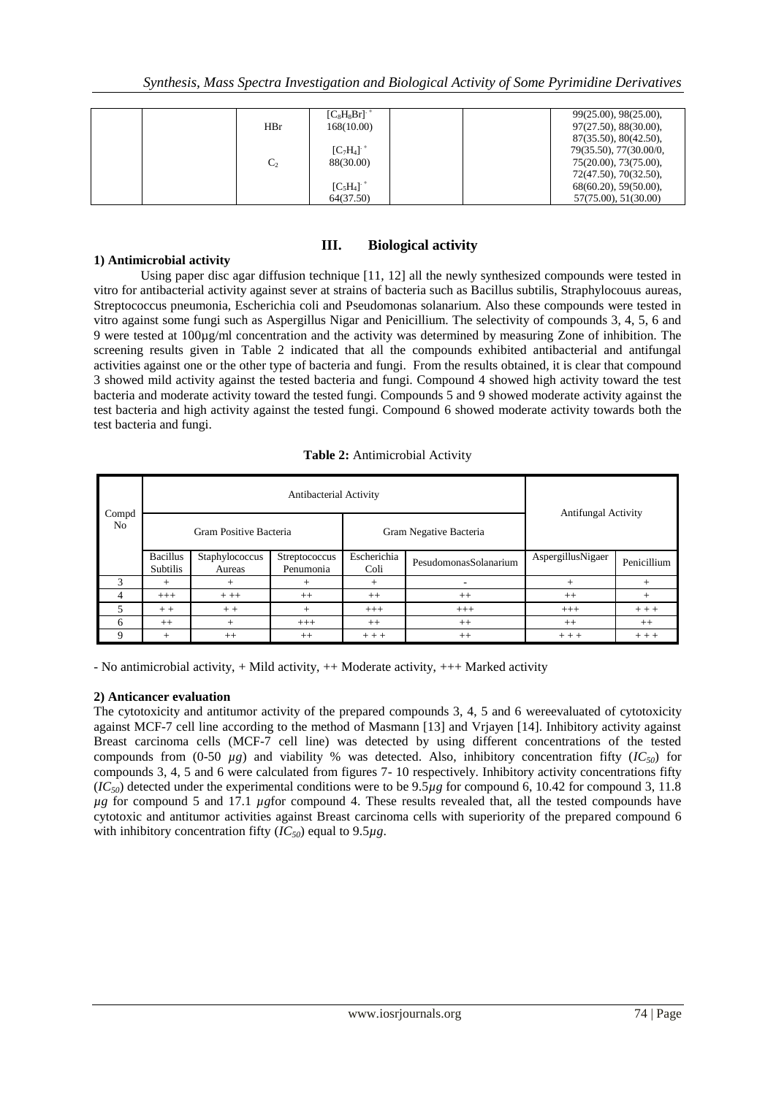|                | $[C_8H_8Br]$ <sup>+</sup> | 99(25.00), 98(25.00),  |
|----------------|---------------------------|------------------------|
| HBr            | 168(10.00)                | 97(27.50), 88(30.00),  |
|                |                           | 87(35.50), 80(42.50),  |
|                | $[C_7H_4]$ <sup>+</sup>   | 79(35.50), 77(30.00/0, |
| C <sub>2</sub> | 88(30.00)                 | 75(20.00), 73(75.00),  |
|                |                           | 72(47.50), 70(32.50),  |
|                | $[C_5H_4]$ <sup>+</sup>   | 68(60.20), 59(50.00),  |
|                | 64(37.50)                 | 57(75.00), 51(30.00)   |

# **III. Biological activity**

## **1) Antimicrobial activity**

Using paper disc agar diffusion technique [11, 12] all the newly synthesized compounds were tested in vitro for antibacterial activity against sever at strains of bacteria such as Bacillus subtilis, Straphylocouus aureas, Streptococcus pneumonia, Escherichia coli and Pseudomonas solanarium. Also these compounds were tested in vitro against some fungi such as Aspergillus Nigar and Penicillium. The selectivity of compounds 3, 4, 5, 6 and 9 were tested at 100µg/ml concentration and the activity was determined by measuring Zone of inhibition. The screening results given in Table 2 indicated that all the compounds exhibited antibacterial and antifungal activities against one or the other type of bacteria and fungi. From the results obtained, it is clear that compound 3 showed mild activity against the tested bacteria and fungi. Compound 4 showed high activity toward the test bacteria and moderate activity toward the tested fungi. Compounds 5 and 9 showed moderate activity against the test bacteria and high activity against the tested fungi. Compound 6 showed moderate activity towards both the test bacteria and fungi.

### **Table 2:** Antimicrobial Activity

| Compd<br>N <sub>o</sub> | Antibacterial Activity      |                          |                            |                     |                        |                            |             |
|-------------------------|-----------------------------|--------------------------|----------------------------|---------------------|------------------------|----------------------------|-------------|
|                         | Gram Positive Bacteria      |                          |                            |                     | Gram Negative Bacteria | <b>Antifungal Activity</b> |             |
|                         | <b>Bacillus</b><br>Subtilis | Staphylococcus<br>Aureas | Streptococcus<br>Penumonia | Escherichia<br>Coli | PesudomonasSolanarium  | AspergillusNigaer          | Penicillium |
| 3                       | $^{+}$                      | $^{+}$                   | $^+$                       | $^{+}$              |                        | $^{+}$                     | $+$         |
|                         | $+++$                       | $++$                     | $++$                       | $++$                | $++$                   | $++$                       | $+$         |
|                         | $++$                        | $++$                     | $^{+}$                     | $+++$               | $+++$                  | $+++$                      | $+ + +$     |
| 6                       | $++$                        | $^{+}$                   | $+++$                      | $++$                | $++$                   | $++$                       | $++$        |
| 9                       | $^{+}$                      | $++$                     | $^{++}$                    | $+ + +$             | $++$                   | $++ +$                     | $+ + +$     |

- No antimicrobial activity, + Mild activity, ++ Moderate activity, +++ Marked activity

# **2) Anticancer evaluation**

The cytotoxicity and antitumor activity of the prepared compounds 3, 4, 5 and 6 wereevaluated of cytotoxicity against MCF-7 cell line according to the method of Masmann [13] and Vrjayen [14]. Inhibitory activity against Breast carcinoma cells (MCF-7 cell line) was detected by using different concentrations of the tested compounds from (0-50  $\mu$ g) and viability % was detected. Also, inhibitory concentration fifty ( $IC_{50}$ ) for compounds 3, 4, 5 and 6 were calculated from figures 7- 10 respectively. Inhibitory activity concentrations fifty  $(*IC*<sub>50</sub>)$  detected under the experimental conditions were to be  $9.5\mu$ g for compound 6, 10.42 for compound 3, 11.8 *µg* for compound 5 and 17.1 *µg*for compound 4. These results revealed that, all the tested compounds have cytotoxic and antitumor activities against Breast carcinoma cells with superiority of the prepared compound 6 with inhibitory concentration fifty  $(IC_{50})$  equal to 9.5 $\mu$ g.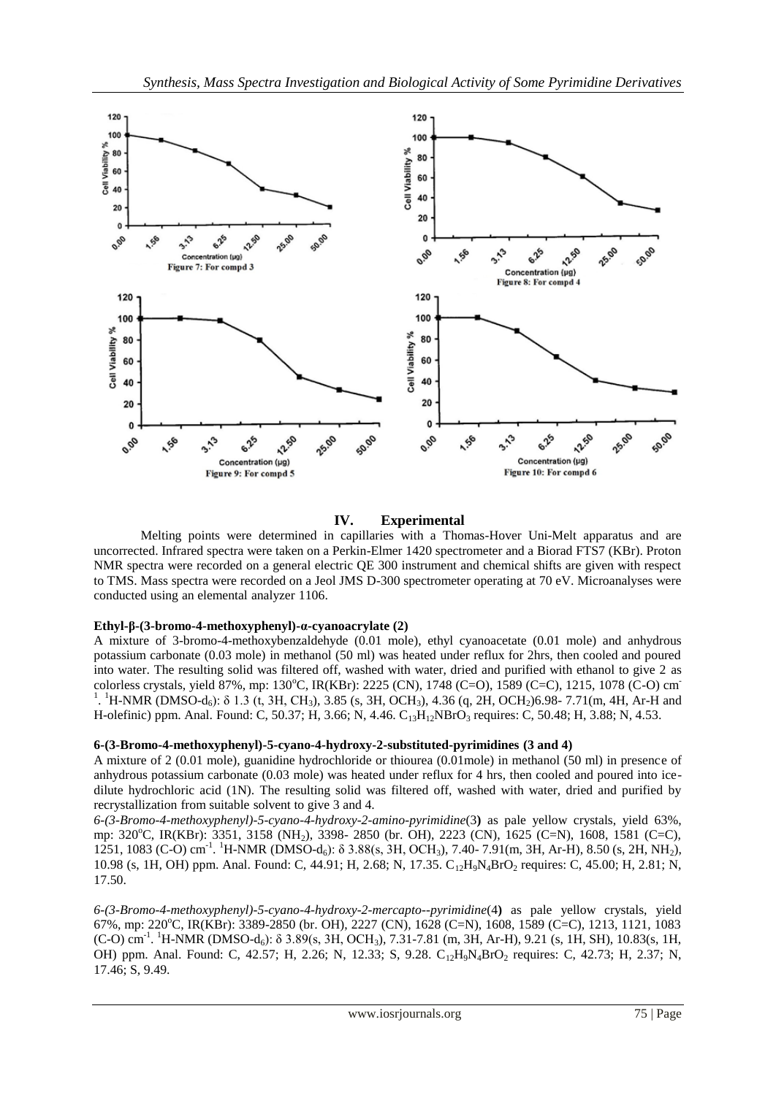

# **IV. Experimental**

Melting points were determined in capillaries with a Thomas-Hover Uni-Melt apparatus and are uncorrected. Infrared spectra were taken on a Perkin-Elmer 1420 spectrometer and a Biorad FTS7 (KBr). Proton NMR spectra were recorded on a general electric QE 300 instrument and chemical shifts are given with respect to TMS. Mass spectra were recorded on a Jeol JMS D-300 spectrometer operating at 70 eV. Microanalyses were conducted using an elemental analyzer 1106.

# **Ethyl-β-(3-bromo-4-methoxyphenyl)-α-cyanoacrylate (2)**

A mixture of 3-bromo-4-methoxybenzaldehyde (0.01 mole), ethyl cyanoacetate (0.01 mole) and anhydrous potassium carbonate (0.03 mole) in methanol (50 ml) was heated under reflux for 2hrs, then cooled and poured into water. The resulting solid was filtered off, washed with water, dried and purified with ethanol to give 2 as colorless crystals, yield 87%, mp: 130°C, IR(KBr): 2225 (CN), 1748 (C=O), 1589 (C=C), 1215, 1078 (C-O) cm<sup>-</sup> <sup>1</sup>. <sup>1</sup>H-NMR (DMSO-d<sub>6</sub>): δ 1.3 (t, 3H, CH<sub>3</sub>), 3.85 (s, 3H, OCH<sub>3</sub>), 4.36 (q, 2H, OCH<sub>2</sub>)6.98- 7.71(m, 4H, Ar-H and H-olefinic) ppm. Anal. Found: C, 50.37; H, 3.66; N, 4.46. C<sub>13</sub>H<sub>12</sub>NBrO<sub>3</sub> requires: C, 50.48; H, 3.88; N, 4.53.

#### **6-(3-Bromo-4-methoxyphenyl)-5-cyano-4-hydroxy-2-substituted-pyrimidines (3 and 4)**

A mixture of 2 (0.01 mole), guanidine hydrochloride or thiourea (0.01mole) in methanol (50 ml) in presence of anhydrous potassium carbonate (0.03 mole) was heated under reflux for 4 hrs, then cooled and poured into icedilute hydrochloric acid (1N). The resulting solid was filtered off, washed with water, dried and purified by recrystallization from suitable solvent to give 3 and 4.

*6-(3-Bromo-4-methoxyphenyl)-5-cyano-4-hydroxy-2-amino-pyrimidine*(3**)** as pale yellow crystals, yield 63%, mp: 320°C, IR(KBr): 3351, 3158 (NH<sub>2</sub>), 3398- 2850 (br. OH), 2223 (CN), 1625 (C=N), 1608, 1581 (C=C), 1251, 1083 (C-O) cm<sup>-1</sup>. <sup>1</sup>H-NMR (DMSO-d<sub>6</sub>): δ 3.88(s, 3H, OCH<sub>3</sub>), 7.40- 7.91(m, 3H, Ar-H), 8.50 (s, 2H, NH<sub>2</sub>), 10.98 (s, 1H, OH) ppm. Anal. Found: C, 44.91; H, 2.68; N, 17.35. C<sub>12</sub>H<sub>9</sub>N<sub>4</sub>BrO<sub>2</sub> requires: C, 45.00; H, 2.81; N, 17.50.

*6-(3-Bromo-4-methoxyphenyl)-5-cyano-4-hydroxy-2-mercapto--pyrimidine*(4**)** as pale yellow crystals, yield 67%, mp: 220<sup>o</sup>C, IR(KBr): 3389-2850 (br. OH), 2227 (CN), 1628 (C=N), 1608, 1589 (C=C), 1213, 1121, 1083  $(C-O)$  cm<sup>-1</sup>. <sup>1</sup>H-NMR (DMSO-d<sub>6</sub>): δ 3.89(s, 3H, OCH<sub>3</sub>), 7.31-7.81 (m, 3H, Ar-H), 9.21 (s, 1H, SH), 10.83(s, 1H, OH) ppm. Anal. Found: C, 42.57; H, 2.26; N, 12.33; S, 9.28. C12H9N4BrO<sup>2</sup> requires: C, 42.73; H, 2.37; N, 17.46; S, 9.49.